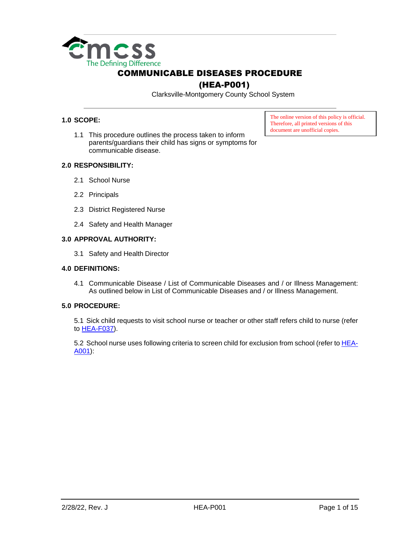

## (HEA-P001)

Clarksville-Montgomery County School System

#### **1.0 SCOPE:**

1.1 This procedure outlines the process taken to inform parents/guardians their child has signs or symptoms for communicable disease.

The online version of this policy is official. Therefore, all printed versions of this document are unofficial copies.

#### **2.0 RESPONSIBILITY:**

- 2.1 School Nurse
- 2.2 Principals
- 2.3 District Registered Nurse
- 2.4 Safety and Health Manager

#### **3.0 APPROVAL AUTHORITY:**

3.1 Safety and Health Director

#### **4.0 DEFINITIONS:**

4.1 Communicable Disease / List of Communicable Diseases and / or Illness Management: As outlined below in List of Communicable Diseases and / or Illness Management.

#### **5.0 PROCEDURE:**

5.1 Sick child requests to visit school nurse or teacher or other staff refers child to nurse (refer to [HEA-F037\)](https://employees.cmcss.net/misc/ViewISO?filename=HEA-F037.pdf).

5.2 School nurse uses following criteria to screen child for exclusion from school (refer to **HEA-**[A001\)](https://employees.cmcss.net/misc/ViewISO?filename=HEA-A001.PDF):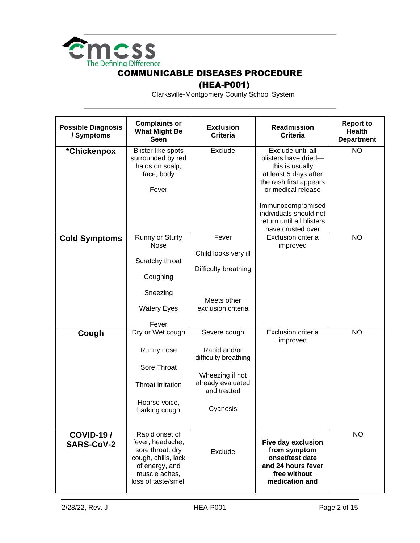

### (HEA-P001)

| <b>Possible Diagnosis</b><br>/ Symptoms | <b>Complaints or</b><br><b>What Might Be</b><br><b>Seen</b>                                                                             | <b>Exclusion</b><br><b>Criteria</b>                                                                                     | <b>Readmission</b><br><b>Criteria</b>                                                                                                                                                                                                  | <b>Report to</b><br><b>Health</b><br><b>Department</b> |
|-----------------------------------------|-----------------------------------------------------------------------------------------------------------------------------------------|-------------------------------------------------------------------------------------------------------------------------|----------------------------------------------------------------------------------------------------------------------------------------------------------------------------------------------------------------------------------------|--------------------------------------------------------|
| *Chickenpox                             | Blister-like spots<br>surrounded by red<br>halos on scalp,<br>face, body<br>Fever                                                       | Exclude                                                                                                                 | Exclude until all<br>blisters have dried-<br>this is usually<br>at least 5 days after<br>the rash first appears<br>or medical release<br>Immunocompromised<br>individuals should not<br>return until all blisters<br>have crusted over | <b>NO</b>                                              |
| <b>Cold Symptoms</b>                    | Runny or Stuffy<br><b>Nose</b><br>Scratchy throat<br>Coughing<br>Sneezing<br><b>Watery Eyes</b><br>Fever                                | Fever<br>Child looks very ill<br>Difficulty breathing<br>Meets other<br>exclusion criteria                              | Exclusion criteria<br>improved                                                                                                                                                                                                         | <b>NO</b>                                              |
| Cough                                   | Dry or Wet cough<br>Runny nose<br>Sore Throat<br>Throat irritation<br>Hoarse voice,<br>barking cough                                    | Severe cough<br>Rapid and/or<br>difficulty breathing<br>Wheezing if not<br>already evaluated<br>and treated<br>Cyanosis | Exclusion criteria<br>improved                                                                                                                                                                                                         | <b>NO</b>                                              |
| $COVID-197$<br><b>SARS-CoV-2</b>        | Rapid onset of<br>fever, headache,<br>sore throat, dry<br>cough, chills, lack<br>of energy, and<br>muscle aches,<br>loss of taste/smell | Exclude                                                                                                                 | Five day exclusion<br>from symptom<br>onset/test date<br>and 24 hours fever<br>free without<br>medication and                                                                                                                          | <b>NO</b>                                              |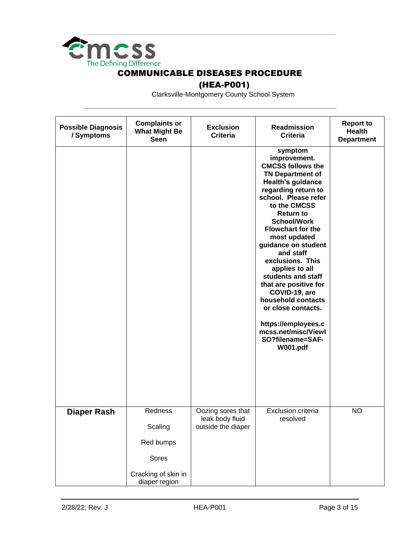

### (HEA-P001)

| <b>Possible Diagnosis</b><br>/ Symptoms | <b>Complaints or</b><br><b>What Might Be</b><br><b>Seen</b> | <b>Exclusion</b><br><b>Criteria</b>                        | Readmission<br><b>Criteria</b>                                                                                                                                                                                                                                                                                                                                                                                                                                                                                                             | <b>Report to</b><br><b>Health</b><br><b>Department</b> |
|-----------------------------------------|-------------------------------------------------------------|------------------------------------------------------------|--------------------------------------------------------------------------------------------------------------------------------------------------------------------------------------------------------------------------------------------------------------------------------------------------------------------------------------------------------------------------------------------------------------------------------------------------------------------------------------------------------------------------------------------|--------------------------------------------------------|
|                                         |                                                             |                                                            | symptom<br>improvement.<br><b>CMCSS follows the</b><br><b>TN Department of</b><br><b>Health's guidance</b><br>regarding return to<br>school. Please refer<br>to the CMCSS<br><b>Return to</b><br><b>School/Work</b><br><b>Flowchart for the</b><br>most updated<br>guidance on student<br>and staff<br>exclusions. This<br>applies to all<br>students and staff<br>that are positive for<br>COVID-19, are<br>household contacts<br>or close contacts.<br>https://employees.c<br>mcss.net/misc/Viewl<br>SO?filename=SAF-<br><b>W001.pdf</b> |                                                        |
| <b>Diaper Rash</b>                      | Redness<br>Scaling                                          | Oozing sores that<br>leak body fluid<br>outside the diaper | <b>Exclusion criteria</b><br>resolved                                                                                                                                                                                                                                                                                                                                                                                                                                                                                                      | <b>NO</b>                                              |
|                                         | Red bumps                                                   |                                                            |                                                                                                                                                                                                                                                                                                                                                                                                                                                                                                                                            |                                                        |
|                                         | Sores                                                       |                                                            |                                                                                                                                                                                                                                                                                                                                                                                                                                                                                                                                            |                                                        |
|                                         | Cracking of skin in<br>diaper region                        |                                                            |                                                                                                                                                                                                                                                                                                                                                                                                                                                                                                                                            |                                                        |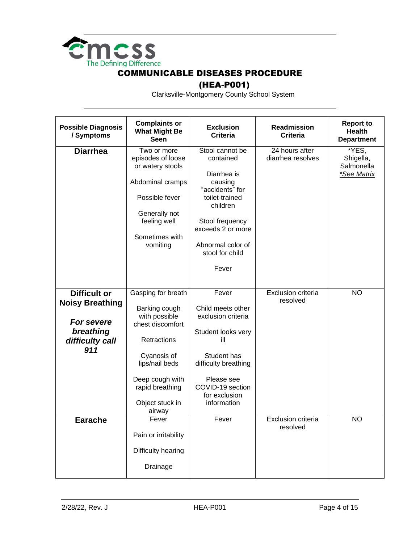

### (HEA-P001)

| <b>Possible Diagnosis</b><br>/ Symptoms                                                            | <b>Complaints or</b><br><b>What Might Be</b><br><b>Seen</b>                                                                                                                                 | <b>Exclusion</b><br><b>Criteria</b>                                                                                                                                                              | <b>Readmission</b><br><b>Criteria</b> | <b>Report to</b><br><b>Health</b><br><b>Department</b> |
|----------------------------------------------------------------------------------------------------|---------------------------------------------------------------------------------------------------------------------------------------------------------------------------------------------|--------------------------------------------------------------------------------------------------------------------------------------------------------------------------------------------------|---------------------------------------|--------------------------------------------------------|
| <b>Diarrhea</b>                                                                                    | Two or more<br>episodes of loose<br>or watery stools<br>Abdominal cramps<br>Possible fever<br>Generally not<br>feeling well<br>Sometimes with<br>vomiting                                   | Stool cannot be<br>contained<br>Diarrhea is<br>causing<br>"accidents" for<br>toilet-trained<br>children<br>Stool frequency<br>exceeds 2 or more<br>Abnormal color of<br>stool for child<br>Fever | 24 hours after<br>diarrhea resolves   | *YES,<br>Shigella,<br>Salmonella<br>*See Matrix        |
| <b>Difficult or</b><br><b>Noisy Breathing</b><br>For severe<br>breathing<br>difficulty call<br>911 | Gasping for breath<br>Barking cough<br>with possible<br>chest discomfort<br>Retractions<br>Cyanosis of<br>lips/nail beds<br>Deep cough with<br>rapid breathing<br>Object stuck in<br>airway | Fever<br>Child meets other<br>exclusion criteria<br>Student looks very<br>ill<br>Student has<br>difficulty breathing<br>Please see<br>COVID-19 section<br>for exclusion<br>information           | Exclusion criteria<br>resolved        | <b>NO</b>                                              |
| <b>Earache</b>                                                                                     | Fever<br>Pain or irritability<br>Difficulty hearing<br>Drainage                                                                                                                             | Fever                                                                                                                                                                                            | <b>Exclusion criteria</b><br>resolved | <b>NO</b>                                              |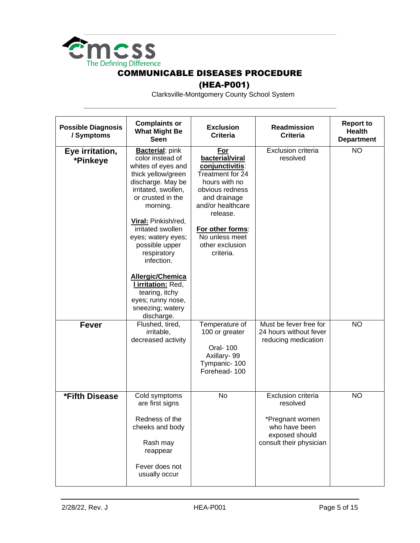

## (HEA-P001)

| <b>Possible Diagnosis</b><br>/ Symptoms | <b>Complaints or</b><br><b>What Might Be</b><br><b>Seen</b>                                                                                                                                                                                                                                                                                                                                                   | <b>Exclusion</b><br><b>Criteria</b>                                                                                                                                                                                      | Readmission<br><b>Criteria</b>                                                                                  | <b>Report to</b><br><b>Health</b><br><b>Department</b> |
|-----------------------------------------|---------------------------------------------------------------------------------------------------------------------------------------------------------------------------------------------------------------------------------------------------------------------------------------------------------------------------------------------------------------------------------------------------------------|--------------------------------------------------------------------------------------------------------------------------------------------------------------------------------------------------------------------------|-----------------------------------------------------------------------------------------------------------------|--------------------------------------------------------|
| Eye irritation,<br>*Pinkeye             | <b>Bacterial: pink</b><br>color instead of<br>whites of eyes and<br>thick yellow/green<br>discharge. May be<br>irritated, swollen,<br>or crusted in the<br>morning.<br>Viral: Pinkish/red,<br>irritated swollen<br>eyes; watery eyes;<br>possible upper<br>respiratory<br>infection.<br>Allergic/Chemica<br><b>Lirritation: Red,</b><br>tearing, itchy<br>eyes; runny nose,<br>sneezing; watery<br>discharge. | For<br>bacterial/viral<br>conjunctivitis:<br>Treatment for 24<br>hours with no<br>obvious redness<br>and drainage<br>and/or healthcare<br>release.<br>For other forms:<br>No unless meet<br>other exclusion<br>criteria. | Exclusion criteria<br>resolved                                                                                  | <b>NO</b>                                              |
| <b>Fever</b>                            | Flushed, tired,<br>irritable,<br>decreased activity                                                                                                                                                                                                                                                                                                                                                           | Temperature of<br>100 or greater<br><b>Oral-100</b><br>Axillary-99<br>Tympanic-100<br>Forehead-100                                                                                                                       | Must be fever free for<br>24 hours without fever<br>reducing medication                                         | <b>NO</b>                                              |
| *Fifth Disease                          | Cold symptoms<br>are first signs<br>Redness of the<br>cheeks and body<br>Rash may<br>reappear<br>Fever does not<br>usually occur                                                                                                                                                                                                                                                                              | No                                                                                                                                                                                                                       | Exclusion criteria<br>resolved<br>*Pregnant women<br>who have been<br>exposed should<br>consult their physician | <b>NO</b>                                              |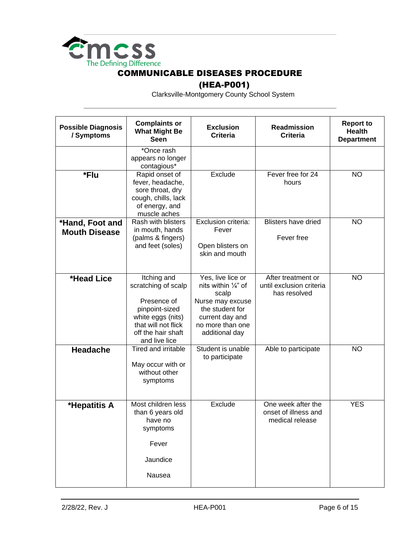

## (HEA-P001)

| <b>Possible Diagnosis</b><br>/ Symptoms | <b>Complaints or</b><br><b>What Might Be</b><br><b>Seen</b>                                                                                            | <b>Exclusion</b><br><b>Criteria</b>                                                                                                                          | Readmission<br><b>Criteria</b>                                 | <b>Report to</b><br><b>Health</b><br><b>Department</b> |
|-----------------------------------------|--------------------------------------------------------------------------------------------------------------------------------------------------------|--------------------------------------------------------------------------------------------------------------------------------------------------------------|----------------------------------------------------------------|--------------------------------------------------------|
|                                         | *Once rash<br>appears no longer<br>contagious*                                                                                                         |                                                                                                                                                              |                                                                |                                                        |
| *Flu                                    | Rapid onset of<br>fever, headache,<br>sore throat, dry<br>cough, chills, lack<br>of energy, and<br>muscle aches                                        | Exclude                                                                                                                                                      | Fever free for 24<br>hours                                     | <b>NO</b>                                              |
| *Hand, Foot and<br><b>Mouth Disease</b> | Rash with blisters<br>in mouth, hands<br>(palms & fingers)<br>and feet (soles)                                                                         | Exclusion criteria:<br>Fever<br>Open blisters on<br>skin and mouth                                                                                           | <b>Blisters have dried</b><br>Fever free                       | <b>NO</b>                                              |
| *Head Lice                              | Itching and<br>scratching of scalp<br>Presence of<br>pinpoint-sized<br>white eggs (nits)<br>that will not flick<br>off the hair shaft<br>and live lice | Yes, live lice or<br>nits within $\frac{1}{4}$ " of<br>scalp<br>Nurse may excuse<br>the student for<br>current day and<br>no more than one<br>additional day | After treatment or<br>until exclusion criteria<br>has resolved | <b>NO</b>                                              |
| <b>Headache</b>                         | Tired and irritable<br>May occur with or<br>without other<br>symptoms                                                                                  | Student is unable<br>to participate                                                                                                                          | Able to participate                                            | <b>NO</b>                                              |
| *Hepatitis A                            | Most children less<br>than 6 years old<br>have no<br>symptoms<br>Fever<br>Jaundice<br>Nausea                                                           | Exclude                                                                                                                                                      | One week after the<br>onset of illness and<br>medical release  | <b>YES</b>                                             |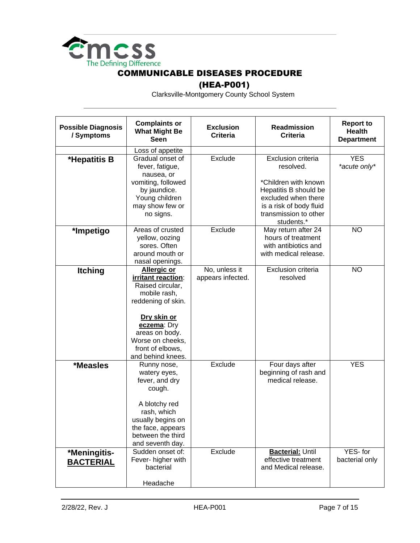

## (HEA-P001)

| <b>Possible Diagnosis</b><br>/ Symptoms | <b>Complaints or</b><br><b>What Might Be</b><br><b>Seen</b>                                                                                                                                                     | <b>Exclusion</b><br><b>Criteria</b> | <b>Readmission</b><br><b>Criteria</b>                                                                                                  | <b>Report to</b><br><b>Health</b><br><b>Department</b> |
|-----------------------------------------|-----------------------------------------------------------------------------------------------------------------------------------------------------------------------------------------------------------------|-------------------------------------|----------------------------------------------------------------------------------------------------------------------------------------|--------------------------------------------------------|
|                                         | Loss of appetite                                                                                                                                                                                                |                                     |                                                                                                                                        |                                                        |
| *Hepatitis B                            | Gradual onset of<br>fever, fatigue,<br>nausea, or                                                                                                                                                               | Exclude                             | Exclusion criteria<br>resolved.                                                                                                        | <b>YES</b><br>*acute only*                             |
|                                         | vomiting, followed<br>by jaundice.<br>Young children<br>may show few or<br>no signs.                                                                                                                            |                                     | *Children with known<br>Hepatitis B should be<br>excluded when there<br>is a risk of body fluid<br>transmission to other<br>students.* |                                                        |
| *Impetigo                               | Areas of crusted<br>yellow, oozing<br>sores. Often<br>around mouth or<br>nasal openings.                                                                                                                        | Exclude                             | May return after 24<br>hours of treatment<br>with antibiotics and<br>with medical release.                                             | <b>NO</b>                                              |
| <b>Itching</b>                          | <b>Allergic or</b><br>irritant reaction:<br>Raised circular,<br>mobile rash,<br>reddening of skin.<br>Dry skin or<br>eczema: Dry<br>areas on body.<br>Worse on cheeks,<br>front of elbows,<br>and behind knees. | No, unless it<br>appears infected.  | Exclusion criteria<br>resolved                                                                                                         | <b>NO</b>                                              |
| <i><b>*Measles</b></i>                  | Runny nose,<br>watery eyes,<br>fever, and dry<br>cough.<br>A blotchy red<br>rash, which<br>usually begins on<br>the face, appears<br>between the third<br>and seventh day.                                      | Exclude                             | Four days after<br>beginning of rash and<br>medical release.                                                                           | <b>YES</b>                                             |
| *Meningitis-<br><b>BACTERIAL</b>        | Sudden onset of:<br>Fever- higher with<br>bacterial<br>Headache                                                                                                                                                 | Exclude                             | <b>Bacterial: Until</b><br>effective treatment<br>and Medical release.                                                                 | YES-for<br>bacterial only                              |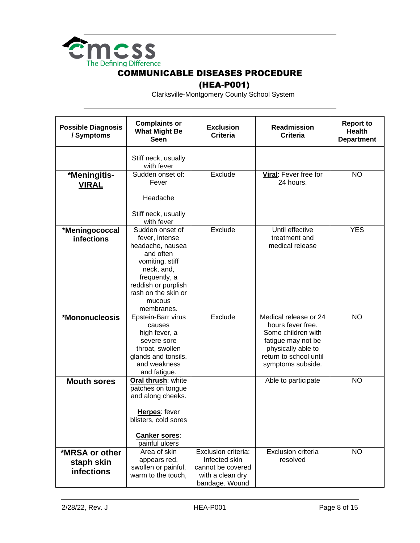

## (HEA-P001)

| <b>Possible Diagnosis</b><br>/ Symptoms           | <b>Complaints or</b><br><b>What Might Be</b><br>Seen                                                                                                                                       | <b>Exclusion</b><br><b>Criteria</b>                                                             | Readmission<br><b>Criteria</b>                                                                                                                              | <b>Report to</b><br><b>Health</b><br><b>Department</b> |
|---------------------------------------------------|--------------------------------------------------------------------------------------------------------------------------------------------------------------------------------------------|-------------------------------------------------------------------------------------------------|-------------------------------------------------------------------------------------------------------------------------------------------------------------|--------------------------------------------------------|
|                                                   | Stiff neck, usually<br>with fever                                                                                                                                                          |                                                                                                 |                                                                                                                                                             |                                                        |
| *Meningitis-<br><b>VIRAL</b>                      | Sudden onset of:<br>Fever<br>Headache                                                                                                                                                      | Exclude                                                                                         | Viral: Fever free for<br>24 hours.                                                                                                                          | <b>NO</b>                                              |
|                                                   | Stiff neck, usually<br>with fever                                                                                                                                                          |                                                                                                 |                                                                                                                                                             |                                                        |
| *Meningococcal<br><b>infections</b>               | Sudden onset of<br>fever, intense<br>headache, nausea<br>and often<br>vomiting, stiff<br>neck, and,<br>frequently, a<br>reddish or purplish<br>rash on the skin or<br>mucous<br>membranes. | Exclude                                                                                         | Until effective<br>treatment and<br>medical release                                                                                                         | <b>YES</b>                                             |
| *Mononucleosis                                    | Epstein-Barr virus<br>causes<br>high fever, a<br>severe sore<br>throat, swollen<br>glands and tonsils,<br>and weakness<br>and fatigue.                                                     | Exclude                                                                                         | Medical release or 24<br>hours fever free.<br>Some children with<br>fatigue may not be<br>physically able to<br>return to school until<br>symptoms subside. | <b>NO</b>                                              |
| <b>Mouth sores</b>                                | Oral thrush: white<br>patches on tongue<br>and along cheeks.<br>Herpes: fever<br>blisters, cold sores<br><b>Canker sores:</b><br>painful ulcers                                            |                                                                                                 | Able to participate                                                                                                                                         | <b>NO</b>                                              |
| *MRSA or other<br>staph skin<br><b>infections</b> | Area of skin<br>appears red,<br>swollen or painful,<br>warm to the touch,                                                                                                                  | Exclusion criteria:<br>Infected skin<br>cannot be covered<br>with a clean dry<br>bandage. Wound | <b>Exclusion criteria</b><br>resolved                                                                                                                       | <b>NO</b>                                              |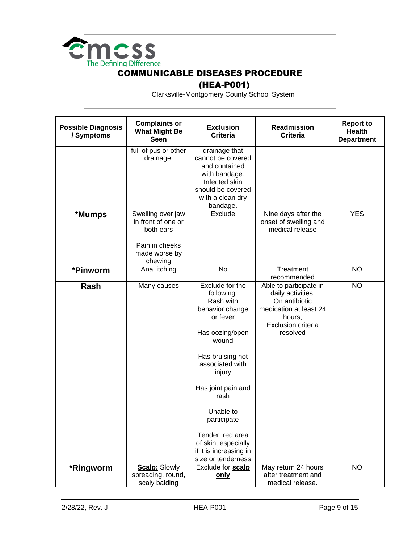

## (HEA-P001)

| <b>Possible Diagnosis</b><br>/ Symptoms | <b>Complaints or</b><br><b>What Might Be</b><br><b>Seen</b>                                        | <b>Exclusion</b><br><b>Criteria</b>                                                                                                                                                                                                                                                                         | <b>Readmission</b><br><b>Criteria</b>                                                                                              | <b>Report to</b><br><b>Health</b><br><b>Department</b> |
|-----------------------------------------|----------------------------------------------------------------------------------------------------|-------------------------------------------------------------------------------------------------------------------------------------------------------------------------------------------------------------------------------------------------------------------------------------------------------------|------------------------------------------------------------------------------------------------------------------------------------|--------------------------------------------------------|
|                                         | full of pus or other<br>drainage.                                                                  | drainage that<br>cannot be covered<br>and contained<br>with bandage.<br>Infected skin<br>should be covered<br>with a clean dry<br>bandage.                                                                                                                                                                  |                                                                                                                                    |                                                        |
| *Mumps                                  | Swelling over jaw<br>in front of one or<br>both ears<br>Pain in cheeks<br>made worse by<br>chewing | Exclude                                                                                                                                                                                                                                                                                                     | Nine days after the<br>onset of swelling and<br>medical release                                                                    | <b>YES</b>                                             |
| *Pinworm                                | Anal itching                                                                                       | <b>No</b>                                                                                                                                                                                                                                                                                                   | Treatment<br>recommended                                                                                                           | <b>NO</b>                                              |
| Rash                                    | Many causes                                                                                        | Exclude for the<br>following:<br>Rash with<br>behavior change<br>or fever<br>Has oozing/open<br>wound<br>Has bruising not<br>associated with<br>injury<br>Has joint pain and<br>rash<br>Unable to<br>participate<br>Tender, red area<br>of skin, especially<br>if it is increasing in<br>size or tenderness | Able to participate in<br>daily activities;<br>On antibiotic<br>medication at least 24<br>hours;<br>Exclusion criteria<br>resolved | <b>NO</b>                                              |
| *Ringworm                               | <b>Scalp: Slowly</b><br>spreading, round,<br>scaly balding                                         | Exclude for scalp<br>only                                                                                                                                                                                                                                                                                   | May return 24 hours<br>after treatment and<br>medical release.                                                                     | <b>NO</b>                                              |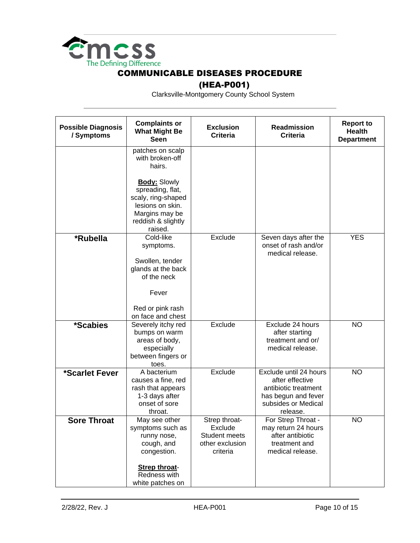

## (HEA-P001)

| <b>Possible Diagnosis</b><br>/ Symptoms | <b>Complaints or</b><br><b>What Might Be</b><br><b>Seen</b>                                                                                                                           | <b>Exclusion</b><br><b>Criteria</b>                                             | <b>Readmission</b><br><b>Criteria</b>                                                                                       | <b>Report to</b><br><b>Health</b><br><b>Department</b> |
|-----------------------------------------|---------------------------------------------------------------------------------------------------------------------------------------------------------------------------------------|---------------------------------------------------------------------------------|-----------------------------------------------------------------------------------------------------------------------------|--------------------------------------------------------|
|                                         | patches on scalp<br>with broken-off<br>hairs.<br><b>Body: Slowly</b><br>spreading, flat,<br>scaly, ring-shaped<br>lesions on skin.<br>Margins may be<br>reddish & slightly<br>raised. |                                                                                 |                                                                                                                             |                                                        |
| *Rubella                                | Cold-like<br>symptoms.<br>Swollen, tender<br>glands at the back<br>of the neck<br>Fever<br>Red or pink rash<br>on face and chest                                                      | Exclude                                                                         | Seven days after the<br>onset of rash and/or<br>medical release.                                                            | <b>YES</b>                                             |
| <i><b>*Scabies</b></i>                  | Severely itchy red<br>bumps on warm<br>areas of body,<br>especially<br>between fingers or<br>toes.                                                                                    | Exclude                                                                         | Exclude 24 hours<br>after starting<br>treatment and or/<br>medical release.                                                 | <b>NO</b>                                              |
| *Scarlet Fever                          | A bacterium<br>causes a fine, red<br>rash that appears<br>1-3 days after<br>onset of sore<br>throat.                                                                                  | Exclude                                                                         | Exclude until 24 hours<br>after effective<br>antibiotic treatment<br>has begun and fever<br>subsides or Medical<br>release. | <b>NO</b>                                              |
| <b>Sore Throat</b>                      | May see other<br>symptoms such as<br>runny nose,<br>cough, and<br>congestion.<br><b>Strep throat-</b><br>Redness with<br>white patches on                                             | Strep throat-<br>Exclude<br><b>Student meets</b><br>other exclusion<br>criteria | For Strep Throat -<br>may return 24 hours<br>after antibiotic<br>treatment and<br>medical release.                          | <b>NO</b>                                              |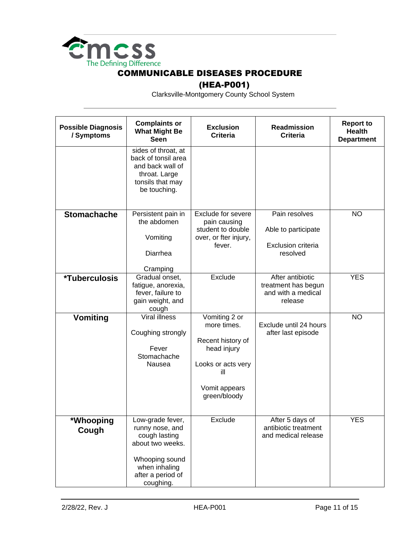

## (HEA-P001)

| <b>Possible Diagnosis</b><br>/ Symptoms | <b>Complaints or</b><br><b>What Might Be</b><br><b>Seen</b>                                                                                  | <b>Exclusion</b><br><b>Criteria</b>                                                                                            | <b>Readmission</b><br><b>Criteria</b>                                    | <b>Report to</b><br><b>Health</b><br><b>Department</b> |
|-----------------------------------------|----------------------------------------------------------------------------------------------------------------------------------------------|--------------------------------------------------------------------------------------------------------------------------------|--------------------------------------------------------------------------|--------------------------------------------------------|
|                                         | sides of throat, at<br>back of tonsil area<br>and back wall of<br>throat. Large<br>tonsils that may<br>be touching.                          |                                                                                                                                |                                                                          |                                                        |
| <b>Stomachache</b>                      | Persistent pain in<br>the abdomen<br>Vomiting<br>Diarrhea<br>Cramping                                                                        | <b>Exclude for severe</b><br>pain causing<br>student to double<br>over, or fter injury,<br>fever.                              | Pain resolves<br>Able to participate<br>Exclusion criteria<br>resolved   | <b>NO</b>                                              |
| <i><b>*Tuberculosis</b></i>             | Gradual onset,<br>fatigue, anorexia,<br>fever, failure to<br>gain weight, and<br>cough                                                       | Exclude                                                                                                                        | After antibiotic<br>treatment has begun<br>and with a medical<br>release | <b>YES</b>                                             |
| <b>Vomiting</b>                         | Viral illness<br>Coughing strongly<br>Fever<br>Stomachache<br>Nausea                                                                         | Vomiting 2 or<br>more times.<br>Recent history of<br>head injury<br>Looks or acts very<br>ill<br>Vomit appears<br>green/bloody | Exclude until 24 hours<br>after last episode                             | <b>NO</b>                                              |
| *Whooping<br>Cough                      | ow-grade fever,<br>runny nose, and<br>cough lasting<br>about two weeks.<br>Whooping sound<br>when inhaling<br>after a period of<br>coughing. | Exclude                                                                                                                        | After 5 days of<br>antibiotic treatment<br>and medical release           | <b>YES</b>                                             |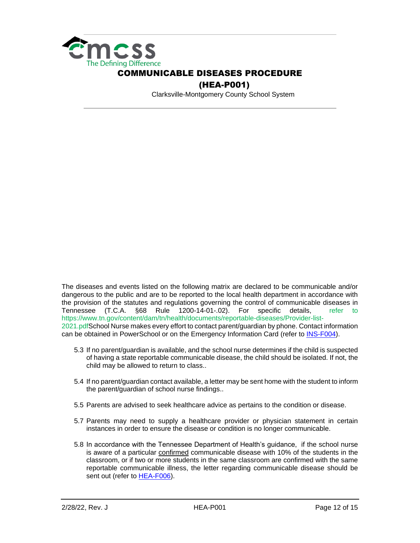

 (HEA-P001) Clarksville-Montgomery County School System

The diseases and events listed on the following matrix are declared to be communicable and/or dangerous to the public and are to be reported to the local health department in accordance with the provision of the statutes and regulations governing the control of communicable diseases in Tennessee (T.C.A. §68 Rule 1200-14-01-.02). For specific details, refer to https://www.tn.gov/content/dam/tn/health/documents/reportable-diseases/Provider-list-2021.pdfSchool Nurse makes every effort to contact parent/guardian by phone. Contact information can be obtained in PowerSchool or on the Emergency Information Card (refer to [INS-F004\)](https://employees.cmcss.net/misc/ViewISO?filename=INS-F004.pdf).

- 5.3 If no parent/guardian is available, and the school nurse determines if the child is suspected of having a state reportable communicable disease, the child should be isolated. If not, the child may be allowed to return to class..
- 5.4 If no parent/guardian contact available, a letter may be sent home with the student to inform the parent/guardian of school nurse findings..
- 5.5 Parents are advised to seek healthcare advice as pertains to the condition or disease.
- 5.7 Parents may need to supply a healthcare provider or physician statement in certain instances in order to ensure the disease or condition is no longer communicable.
- 5.8 In accordance with the Tennessee Department of Health's guidance, if the school nurse is aware of a particular confirmed communicable disease with 10% of the students in the classroom, or if two or more students in the same classroom are confirmed with the same reportable communicable illness, the letter regarding communicable disease should be sent out (refer to [HEA-F006\)](https://employees.cmcss.net/misc/ViewISO?filename=HEA-F006.PDF).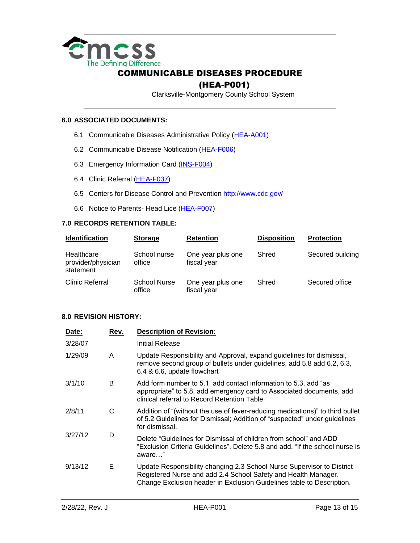

#### (HEA-P001)

Clarksville-Montgomery County School System

#### **6.0 ASSOCIATED DOCUMENTS:**

- 6.1 Communicable Diseases Administrative Policy [\(HEA-A001\)](https://employees.cmcss.net/misc/ViewISO?filename=HEA-A001.pdf)
- 6.2 Communicable Disease Notification [\(HEA-F006\)](https://employees.cmcss.net/misc/ViewISO?filename=HEA-F006.pdf)
- 6.3 Emergency Information Card [\(INS-F004\)](https://employees.cmcss.net/misc/ViewISO?filename=INS-F004.pdf)
- 6.4 Clinic Referral [\(HEA-F037\)](https://employees.cmcss.net/misc/ViewISO?filename=HEA-F037.pdf)
- 6.5 Centers for Disease Control and Prevention<http://www.cdc.gov/>
- 6.6 Notice to Parents- Head Lice [\(HEA-F007\)](https://employees.cmcss.net/misc/ViewISO?filename=HEA-F007.pdf)

#### **7.0 RECORDS RETENTION TABLE:**

| <b>Identification</b>                         | <b>Storage</b>                | <b>Retention</b>                 | <b>Disposition</b> | <b>Protection</b> |
|-----------------------------------------------|-------------------------------|----------------------------------|--------------------|-------------------|
| Healthcare<br>provider/physician<br>statement | School nurse<br>office        | One year plus one<br>fiscal year | Shred              | Secured building  |
| Clinic Referral                               | <b>School Nurse</b><br>office | One year plus one<br>fiscal year | Shred              | Secured office    |

#### **8.0 REVISION HISTORY:**

| Date:   | Rev. | <b>Description of Revision:</b>                                                                                                                                                                                   |
|---------|------|-------------------------------------------------------------------------------------------------------------------------------------------------------------------------------------------------------------------|
| 3/28/07 |      | Initial Release                                                                                                                                                                                                   |
| 1/29/09 | A    | Update Responsibility and Approval, expand guidelines for dismissal,<br>remove second group of bullets under guidelines, add 5.8 add 6.2, 6.3,<br>6.4 & 6.6, update flowchart                                     |
| 3/1/10  | B    | Add form number to 5.1, add contact information to 5.3, add "as<br>appropriate" to 5.8, add emergency card to Associated documents, add<br>clinical referral to Record Retention Table                            |
| 2/8/11  | C    | Addition of "(without the use of fever-reducing medications)" to third bullet<br>of 5.2 Guidelines for Dismissal; Addition of "suspected" under guidelines<br>for dismissal.                                      |
| 3/27/12 | D    | Delete "Guidelines for Dismissal of children from school" and ADD<br>"Exclusion Criteria Guidelines". Delete 5.8 and add, "If the school nurse is<br>aware"                                                       |
| 9/13/12 | Е    | Update Responsibility changing 2.3 School Nurse Supervisor to District<br>Registered Nurse and add 2.4 School Safety and Health Manager.<br>Change Exclusion header in Exclusion Guidelines table to Description. |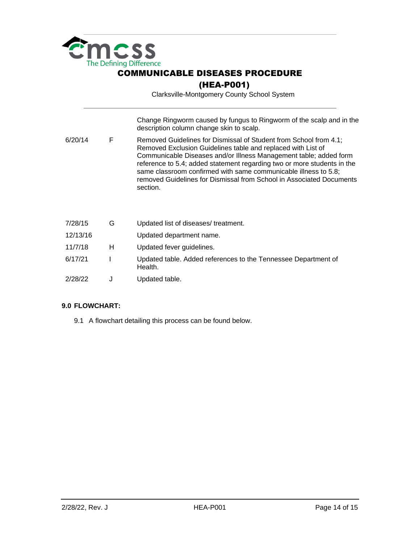

(HEA-P001)

Clarksville-Montgomery County School System

| 6/20/14  | F | Change Ringworm caused by fungus to Ringworm of the scalp and in the<br>description column change skin to scalp.<br>Removed Guidelines for Dismissal of Student from School from 4.1;<br>Removed Exclusion Guidelines table and replaced with List of<br>Communicable Diseases and/or Illness Management table; added form<br>reference to 5.4; added statement regarding two or more students in the |
|----------|---|-------------------------------------------------------------------------------------------------------------------------------------------------------------------------------------------------------------------------------------------------------------------------------------------------------------------------------------------------------------------------------------------------------|
|          |   | same classroom confirmed with same communicable illness to 5.8;<br>removed Guidelines for Dismissal from School in Associated Documents<br>section.                                                                                                                                                                                                                                                   |
| 7/28/15  | G | Updated list of diseases/treatment.                                                                                                                                                                                                                                                                                                                                                                   |
| 12/13/16 |   | Updated department name.                                                                                                                                                                                                                                                                                                                                                                              |
| 11/7/18  | н | Updated fever guidelines.                                                                                                                                                                                                                                                                                                                                                                             |
| 6/17/21  |   | Updated table. Added references to the Tennessee Department of<br>Health.                                                                                                                                                                                                                                                                                                                             |
| 2/28/22  | J | Updated table.                                                                                                                                                                                                                                                                                                                                                                                        |

#### **9.0 FLOWCHART:**

9.1 A flowchart detailing this process can be found below.